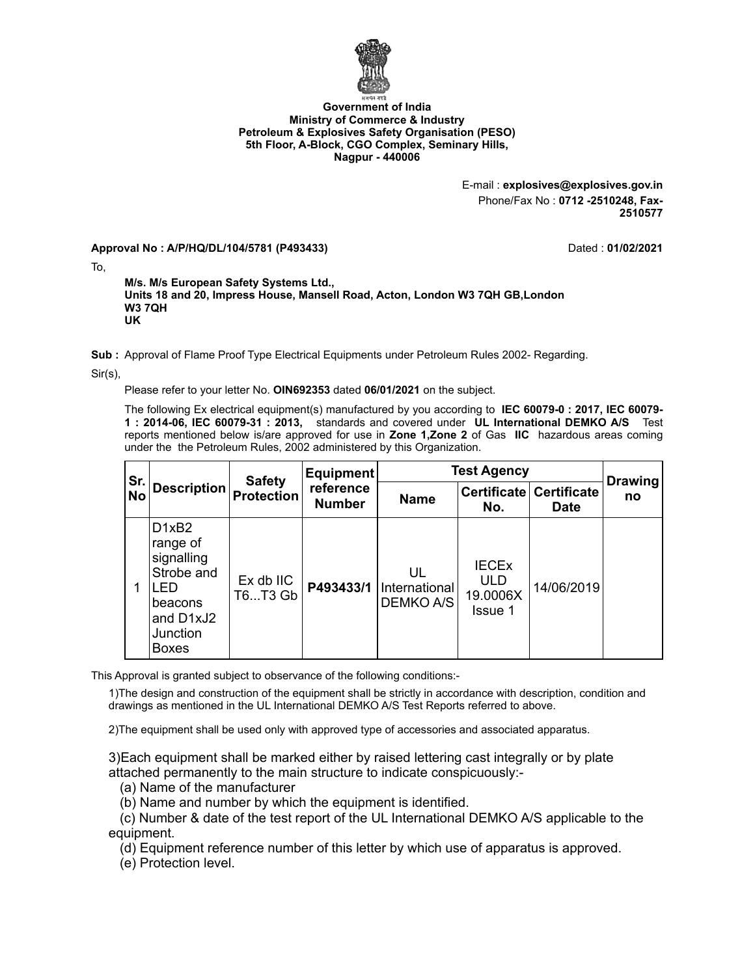

## **Government of India Ministry of Commerce & Industry Petroleum & Explosives Safety Organisation (PESO) 5th Floor, A-Block, CGO Complex, Seminary Hills, Nagpur - 440006**

E-mail : **explosives@explosives.gov.in** Phone/Fax No : **0712 -2510248, Fax-2510577**

**Approval No : A/P/HQ/DL/104/5781 (P493433)** Dated : **01/02/2021**

To,

**M/s. M/s European Safety Systems Ltd., Units 18 and 20, Impress House, Mansell Road, Acton, London W3 7QH GB,London W3 7QH UK**

**Sub :** Approval of Flame Proof Type Electrical Equipments under Petroleum Rules 2002- Regarding.

Sir(s),

Please refer to your letter No. **OIN692353** dated **06/01/2021** on the subject.

The following Ex electrical equipment(s) manufactured by you according to **IEC 60079-0 : 2017, IEC 60079- 1 : 2014-06, IEC 60079-31 : 2013,** standards and covered under **UL International DEMKO A/S** Test reports mentioned below is/are approved for use in **Zone 1,Zone 2** of Gas **IIC** hazardous areas coming under the the Petroleum Rules, 2002 administered by this Organization.

| Sr.<br><b>No</b> | <b>Description</b>                                                                                                                | <b>Safety</b><br><b>Protection</b> | <b>Equipment</b><br>reference<br><b>Number</b> | <b>Test Agency</b>                      |                                                   |                                        | <b>Drawing</b> |
|------------------|-----------------------------------------------------------------------------------------------------------------------------------|------------------------------------|------------------------------------------------|-----------------------------------------|---------------------------------------------------|----------------------------------------|----------------|
|                  |                                                                                                                                   |                                    |                                                | <b>Name</b>                             | No.                                               | Certificate Certificate<br><b>Date</b> | no             |
| 1                | D <sub>1</sub> x <sub>B2</sub><br>range of<br>signalling<br>Strobe and<br>FD.<br>beacons<br>and D1xJ2<br>Junction<br><b>Boxes</b> | Ex db IIC<br>T6T3 Gb               | P493433/1                                      | UL<br>International<br><b>DEMKO A/S</b> | <b>IECEX</b><br><b>ULD</b><br>19.0006X<br>Issue 1 | 14/06/2019                             |                |

This Approval is granted subject to observance of the following conditions:-

1)The design and construction of the equipment shall be strictly in accordance with description, condition and drawings as mentioned in the UL International DEMKO A/S Test Reports referred to above.

2)The equipment shall be used only with approved type of accessories and associated apparatus.

3)Each equipment shall be marked either by raised lettering cast integrally or by plate attached permanently to the main structure to indicate conspicuously:-

(a) Name of the manufacturer

(b) Name and number by which the equipment is identified.

 (c) Number & date of the test report of the UL International DEMKO A/S applicable to the equipment.

(d) Equipment reference number of this letter by which use of apparatus is approved.

(e) Protection level.